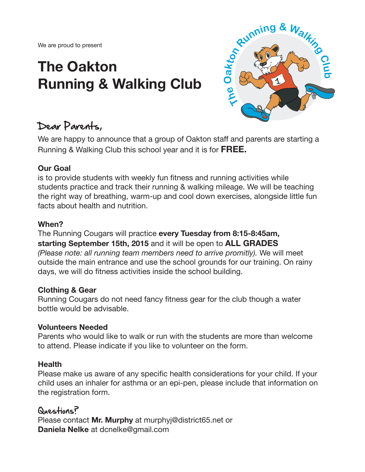We are proud to present

# **The Oakton Running & Walking Club**



# Dear Parents,

We are happy to announce that a group of Oakton staff and parents are starting a Running & Walking Club this school year and it is for **FREE.**

#### **Our Goal**

is to provide students with weekly fun fitness and running activities while students practice and track their running & walking mileage. We will be teaching the right way of breathing, warm-up and cool down exercises, alongside little fun facts about health and nutrition.

#### **When?**

#### The Running Cougars will practice **every Tuesday from 8:15-8:45am, starting September 15th, 2015** and it will be open to **ALL GRADES** *(Please note: all running team members need to arrive promitly).* We will meet outside the main entrance and use the school grounds for our training. On rainy days, we will do fitness activities inside the school building.

#### **Clothing & Gear**

Running Cougars do not need fancy fitness gear for the club though a water bottle would be advisable.

#### **Volunteers Needed**

Parents who would like to walk or run with the students are more than welcome to attend. Please indicate if you like to volunteer on the form.

#### **Health**

Please make us aware of any specific health considerations for your child. If your child uses an inhaler for asthma or an epi-pen, please include that information on the registration form.

# Questions?

Please contact **Mr. Murphy** at murphyj@district65.net or **Daniela Nelke** at dcnelke@gmail.com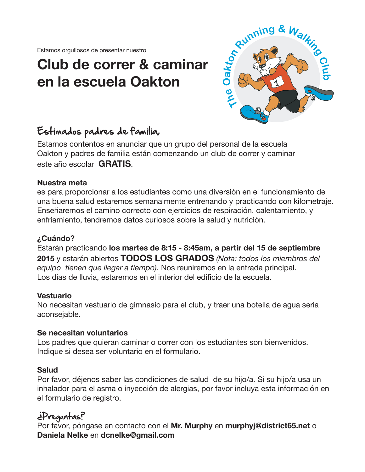Estamos orgullosos de presentar nuestro

# **Club de correr & caminar en la escuela Oakton**



# Estimados padres de familia,

Estamos contentos en anunciar que un grupo del personal de la escuela Oakton y padres de familia están comenzando un club de correr y caminar este año escolar **GRATIS**.

#### **Nuestra meta**

es para proporcionar a los estudiantes como una diversión en el funcionamiento de una buena salud estaremos semanalmente entrenando y practicando con kilometraje. Enseñaremos el camino correcto con ejercicios de respiración, calentamiento, y enfriamiento, tendremos datos curiosos sobre la salud y nutrición.

#### **¿Cuándo?**

Estarán practicando **los martes de 8:15 - 8:45am, a partir del 15 de septiembre 2015** y estarán abiertos **TODOS LOS GRADOS** *(Nota: todos los miembros del equipo tienen que llegar a tiempo)*. Nos reuniremos en la entrada principal. Los días de lluvia, estaremos en el interior del edificio de la escuela.

#### **Vestuario**

No necesitan vestuario de gimnasio para el club, y traer una botella de agua sería aconsejable.

#### **Se necesitan voluntarios**

Los padres que quieran caminar o correr con los estudiantes son bienvenidos. Indique si desea ser voluntario en el formulario.

#### **Salud**

Por favor, déjenos saber las condiciones de salud de su hijo/a. Si su hijo/a usa un inhalador para el asma o inyección de alergias, por favor incluya esta información en el formulario de registro.

# ¿Preguntas?

Por favor, póngase en contacto con el **Mr. Murphy** en **murphyj@district65.net** o **Daniela Nelke** en **dcnelke@gmail.com**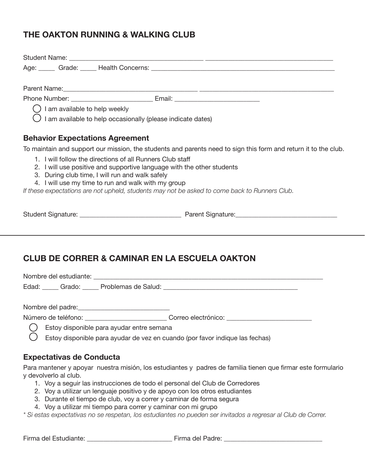### **THE OAKTON RUNNING & WALKING CLUB**

|                                                                                                                | Age: Crade: Realth Concerns: Commercial Concerns and Concerns and Concerns and Concerns and Concerns and Concerns and Concerns and Concerns and Concerns and Concerns and Concerns and Concerns and Concerns and Concerns and |
|----------------------------------------------------------------------------------------------------------------|-------------------------------------------------------------------------------------------------------------------------------------------------------------------------------------------------------------------------------|
|                                                                                                                |                                                                                                                                                                                                                               |
|                                                                                                                |                                                                                                                                                                                                                               |
|                                                                                                                |                                                                                                                                                                                                                               |
| $\bigcirc$ I am available to help weekly                                                                       |                                                                                                                                                                                                                               |
| $\bigcirc$ I am available to help occasionally (please indicate dates)                                         |                                                                                                                                                                                                                               |
| <b>Behavior Expectations Agreement</b>                                                                         |                                                                                                                                                                                                                               |
|                                                                                                                | To maintain and support our mission, the students and parents need to sign this form and return it to the club.                                                                                                               |
| 1. I will follow the directions of all Runners Club staff                                                      |                                                                                                                                                                                                                               |
| 2. I will use positive and supportive language with the other students                                         |                                                                                                                                                                                                                               |
| 3. During club time, I will run and walk safely                                                                |                                                                                                                                                                                                                               |
| 4. I will use my time to run and walk with my group                                                            |                                                                                                                                                                                                                               |
| If these expectations are not upheld, students may not be asked to come back to Runners Club.                  |                                                                                                                                                                                                                               |
|                                                                                                                |                                                                                                                                                                                                                               |
| <b>CLUB DE CORRER &amp; CAMINAR EN LA ESCUELA OAKTON</b>                                                       |                                                                                                                                                                                                                               |
|                                                                                                                |                                                                                                                                                                                                                               |
| Edad: Carado: Carado: Problemas de Salud: Caracter Contracted Contracted Contracted Contracted Contracted Cont |                                                                                                                                                                                                                               |
|                                                                                                                |                                                                                                                                                                                                                               |
| Número de teléfono: _______________________________Correo electrónico: _____________________________           |                                                                                                                                                                                                                               |
| Estoy disponible para ayudar entre semana                                                                      |                                                                                                                                                                                                                               |
| Estoy disponible para ayudar de vez en cuando (por favor indique las fechas)                                   |                                                                                                                                                                                                                               |
|                                                                                                                |                                                                                                                                                                                                                               |
| <b>Expectativas de Conducta</b>                                                                                |                                                                                                                                                                                                                               |

Para mantener y apoyar nuestra misión, los estudiantes y padres de familia tienen que firmar este formulario y devolverlo al club.

- 1. Voy a seguir las instrucciones de todo el personal del Club de Corredores
- 2. Voy a utilizar un lenguaje positivo y de apoyo con los otros estudiantes
- 3. Durante el tiempo de club, voy a correr y caminar de forma segura
- 4. Voy a utilizar mi tiempo para correr y caminar con mi grupo

*\* Si estas expectativas no se respetan, los estudiantes no pueden ser invitados a regresar al Club de Correr.*

Firma del Estudiante: \_\_\_\_\_\_\_\_\_\_\_\_\_\_\_\_\_\_\_\_\_\_\_\_\_\_ Firma del Padre: \_\_\_\_\_\_\_\_\_\_\_\_\_\_\_\_\_\_\_\_\_\_\_\_\_\_\_\_\_\_